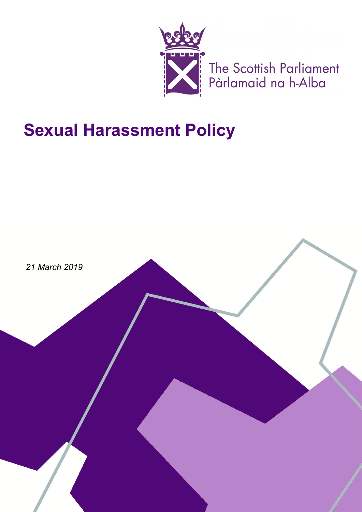

The Scottish Parliament<br>Pàrlamaid na h-Alba

# **Sexual Harassment Policy**

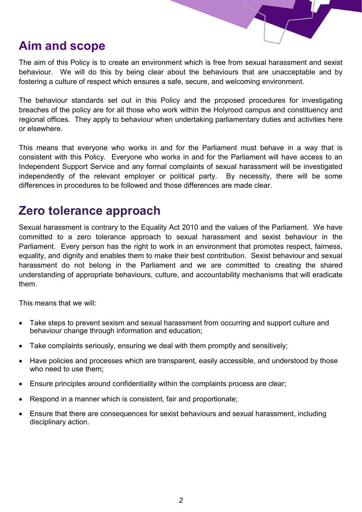#### **Aim and scope**

The aim of this Policy is to create an environment which is free from sexual harassment and sexist behaviour. We will do this by being clear about the behaviours that are unacceptable and by fostering a culture of respect which ensures a safe, secure, and welcoming environment.

The behaviour standards set out in this Policy and the proposed procedures for investigating breaches of the policy are for all those who work within the Holyrood campus and constituency and regional offices. They apply to behaviour when undertaking parliamentary duties and activities here or elsewhere.

This means that everyone who works in and for the Parliament must behave in a way that is consistent with this Policy. Everyone who works in and for the Parliament will have access to an Independent Support Service and any formal complaints of sexual harassment will be investigated independently of the relevant employer or political party. By necessity, there will be some differences in procedures to be followed and those differences are made clear.

#### **Zero tolerance approach**

Sexual harassment is contrary to the Equality Act 2010 and the values of the Parliament. We have committed to a zero tolerance approach to sexual harassment and sexist behaviour in the Parliament. Every person has the right to work in an environment that promotes respect, fairness, equality, and dignity and enables them to make their best contribution. Sexist behaviour and sexual harassment do not belong in the Parliament and we are committed to creating the shared understanding of appropriate behaviours, culture, and accountability mechanisms that will eradicate them.

This means that we will:

- Take steps to prevent sexism and sexual harassment from occurring and support culture and behaviour change through information and education;
- Take complaints seriously, ensuring we deal with them promptly and sensitively;
- Have policies and processes which are transparent, easily accessible, and understood by those who need to use them;
- Ensure principles around confidentiality within the complaints process are clear;
- Respond in a manner which is consistent, fair and proportionate;
- Ensure that there are consequences for sexist behaviours and sexual harassment, including disciplinary action.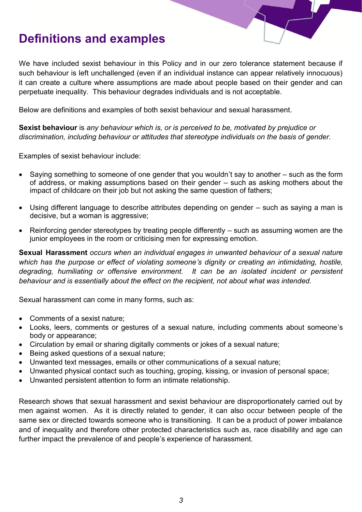### **Definitions and examples**

We have included sexist behaviour in this Policy and in our zero tolerance statement because if such behaviour is left unchallenged (even if an individual instance can appear relatively innocuous) it can create a culture where assumptions are made about people based on their gender and can perpetuate inequality. This behaviour degrades individuals and is not acceptable.

Below are definitions and examples of both sexist behaviour and sexual harassment.

**Sexist behaviour** is *any behaviour which is, or is perceived to be, motivated by prejudice or discrimination, including behaviour or attitudes that stereotype individuals on the basis of gender.*

Examples of sexist behaviour include:

- Saying something to someone of one gender that you wouldn't say to another such as the form of address, or making assumptions based on their gender – such as asking mothers about the impact of childcare on their job but not asking the same question of fathers;
- Using different language to describe attributes depending on gender such as saying a man is decisive, but a woman is aggressive;
- Reinforcing gender stereotypes by treating people differently such as assuming women are the junior employees in the room or criticising men for expressing emotion.

**Sexual Harassment** *occurs when an individual engages in unwanted behaviour of a sexual nature which has the purpose or effect of violating someone's dignity or creating an intimidating, hostile, degrading, humiliating or offensive environment. It can be an isolated incident or persistent behaviour and is essentially about the effect on the recipient, not about what was intended.*

Sexual harassment can come in many forms, such as:

- Comments of a sexist nature;
- Looks, leers, comments or gestures of a sexual nature, including comments about someone's body or appearance;
- Circulation by email or sharing digitally comments or jokes of a sexual nature;
- Being asked questions of a sexual nature;
- Unwanted text messages, emails or other communications of a sexual nature;
- Unwanted physical contact such as touching, groping, kissing, or invasion of personal space;
- Unwanted persistent attention to form an intimate relationship.

Research shows that sexual harassment and sexist behaviour are disproportionately carried out by men against women. As it is directly related to gender, it can also occur between people of the same sex or directed towards someone who is transitioning. It can be a product of power imbalance and of inequality and therefore other protected characteristics such as, race disability and age can further impact the prevalence of and people's experience of harassment.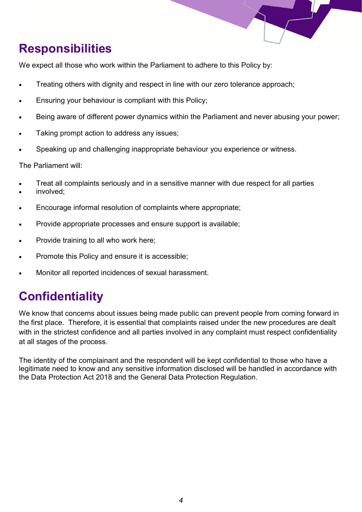

## **Responsibilities**

We expect all those who work within the Parliament to adhere to this Policy by:

- Treating others with dignity and respect in line with our zero tolerance approach:
- Ensuring your behaviour is compliant with this Policy;
- Being aware of different power dynamics within the Parliament and never abusing your power;
- Taking prompt action to address any issues:
- Speaking up and challenging inappropriate behaviour you experience or witness.

The Parliament will:

- Treat all complaints seriously and in a sensitive manner with due respect for all parties
- involved;
- Encourage informal resolution of complaints where appropriate;
- Provide appropriate processes and ensure support is available;
- Provide training to all who work here;
- Promote this Policy and ensure it is accessible;
- Monitor all reported incidences of sexual harassment.

# **Confidentiality**

We know that concerns about issues being made public can prevent people from coming forward in the first place. Therefore, it is essential that complaints raised under the new procedures are dealt with in the strictest confidence and all parties involved in any complaint must respect confidentiality at all stages of the process.

The identity of the complainant and the respondent will be kept confidential to those who have a legitimate need to know and any sensitive information disclosed will be handled in accordance with the Data Protection Act 2018 and the General Data Protection Regulation.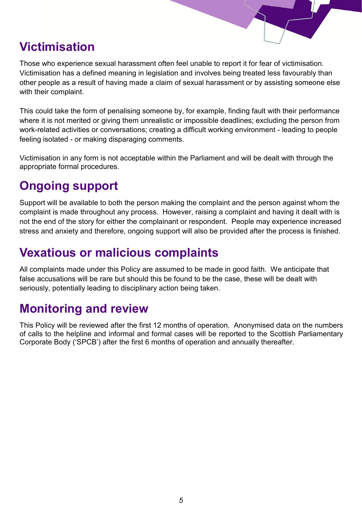## **Victimisation**

Those who experience sexual harassment often feel unable to report it for fear of victimisation. Victimisation has a defined meaning in legislation and involves being treated less favourably than other people as a result of having made a claim of sexual harassment or by assisting someone else with their complaint.

This could take the form of penalising someone by, for example, finding fault with their performance where it is not merited or giving them unrealistic or impossible deadlines; excluding the person from work-related activities or conversations; creating a difficult working environment - leading to people feeling isolated - or making disparaging comments.

Victimisation in any form is not acceptable within the Parliament and will be dealt with through the appropriate formal procedures.

## **Ongoing support**

Support will be available to both the person making the complaint and the person against whom the complaint is made throughout any process. However, raising a complaint and having it dealt with is not the end of the story for either the complainant or respondent. People may experience increased stress and anxiety and therefore, ongoing support will also be provided after the process is finished.

#### **Vexatious or malicious complaints**

All complaints made under this Policy are assumed to be made in good faith. We anticipate that false accusations will be rare but should this be found to be the case, these will be dealt with seriously, potentially leading to disciplinary action being taken.

#### **Monitoring and review**

This Policy will be reviewed after the first 12 months of operation. Anonymised data on the numbers of calls to the helpline and informal and formal cases will be reported to the Scottish Parliamentary Corporate Body ('SPCB') after the first 6 months of operation and annually thereafter.